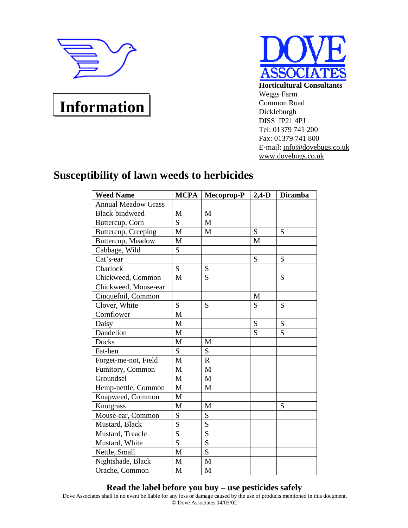

## **Information**



**Horticultural Consultants** Weggs Farm Common Road Dickleburgh DISS IP21 4PJ Tel: 01379 741 200 Fax: 01379 741 800 E-mail: [info@dovebugs.co.uk](mailto:info@dovebugs.co.uk) [www.dovebugs.co.uk](http://www.dovebugs.co.uk)

## **Susceptibility of lawn weeds to herbicides**

| <b>Weed Name</b>           | <b>MCPA</b> | Mecoprop-P  | $2,4-D$ | <b>Dicamba</b> |
|----------------------------|-------------|-------------|---------|----------------|
| <b>Annual Meadow Grass</b> |             |             |         |                |
| <b>Black-bindweed</b>      | M           | M           |         |                |
| Buttercup, Corn            | S           | M           |         |                |
| Buttercup, Creeping        | M           | M           | S       | S              |
| Buttercup, Meadow          | M           |             | M       |                |
| Cabbage, Wild              | S           |             |         |                |
| Cat's-ear                  |             |             | S       | S              |
| Charlock                   | S           | S           |         |                |
| Chickweed, Common          | M           | S           |         | S              |
| Chickweed, Mouse-ear       |             |             |         |                |
| Cinquefoil, Common         |             |             | M       |                |
| Clover, White              | S           | S           | S       | S              |
| Cornflower                 | M           |             |         |                |
| Daisy                      | M           |             | S       | S              |
| Dandelion                  | M           |             | S       | S              |
| <b>Docks</b>               | M           | M           |         |                |
| Fat-hen                    | S           | S           |         |                |
| Forget-me-not, Field       | M           | $\mathbf R$ |         |                |
| Fumitory, Common           | M           | M           |         |                |
| Groundsel                  | M           | M           |         |                |
| Hemp-nettle, Common        | M           | M           |         |                |
| Knapweed, Common           | M           |             |         |                |
| Knotgrass                  | M           | M           |         | S              |
| Mouse-ear, Common          | S           | S           |         |                |
| Mustard, Black             | S           | S           |         |                |
| Mustard, Treacle           | S           | S           |         |                |
| Mustard, White             | S           | S           |         |                |
| Nettle, Small              | M           | S           |         |                |
| Nightshade, Black          | M           | M           |         |                |
| Orache, Common             | M           | M           |         |                |

## **Read the label before you buy – use pesticides safely**

Dove Associates shall in no event be liable for any loss or damage caused by the use of products mentioned in this document. © Dove Associates 04/03/02